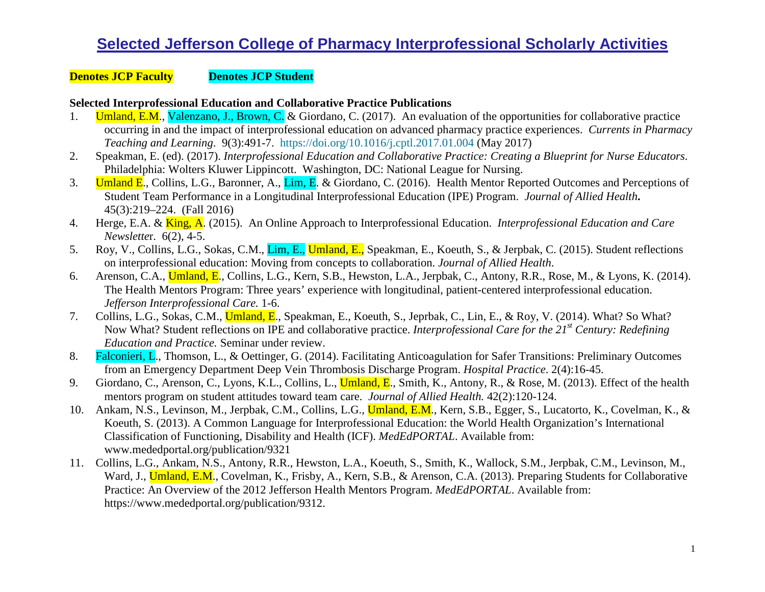#### **Denotes JCP Faculty Denotes JCP Student**

#### **Selected Interprofessional Education and Collaborative Practice Publications**

- 1. **Umland, E.M., Valenzano, J., Brown, C.** & Giordano, C. (2017). An evaluation of the opportunities for collaborative practice occurring in and the impact of interprofessional education on advanced pharmacy practice experiences. *Currents in Pharmacy Teaching and Learning*. 9(3):491-7. <https://doi.org/10.1016/j.cptl.2017.01.004> (May 2017)
- 2. Speakman, E. (ed). (2017). *Interprofessional Education and Collaborative Practice: Creating a Blueprint for Nurse Educators*. Philadelphia: Wolters Kluwer Lippincott. Washington, DC: National League for Nursing.
- 3. **Umland E., Collins, L.G., Baronner, A., Lim, E. & Giordano, C.** (2016). Health Mentor Reported Outcomes and Perceptions of Student Team Performance in a Longitudinal Interprofessional Education (IPE) Program. *Journal of Allied Health***.**  45(3):219–224. (Fall 2016)
- 4. Herge, E.A. & King, A. (2015). An Online Approach to Interprofessional Education. *Interprofessional Education and Care Newslette*r. 6(2), 4-5.
- 5. Roy, V., Collins, L.G., Sokas, C.M., Lim, E., Umland, E., Speakman, E., Koeuth, S., & Jerpbak, C. (2015). Student reflections on interprofessional education: Moving from concepts to collaboration. *Journal of Allied Health*.
- 6. Arenson, C.A., Umland, E., Collins, L.G., Kern, S.B., Hewston, L.A., Jerpbak, C., Antony, R.R., Rose, M., & Lyons, K. (2014). The Health Mentors Program: Three years' experience with longitudinal, patient-centered interprofessional education. *Jefferson Interprofessional Care.* 1-6.
- 7. Collins, L.G., Sokas, C.M., Umland, E., Speakman, E., Koeuth, S., Jeprbak, C., Lin, E., & Roy, V. (2014). What? So What? Now What? Student reflections on IPE and collaborative practice. *Interprofessional Care for the 21st Century: Redefining Education and Practice.* Seminar under review.
- 8. Falconieri, L., Thomson, L., & Oettinger, G. (2014). Facilitating Anticoagulation for Safer Transitions: Preliminary Outcomes from an Emergency Department Deep Vein Thrombosis Discharge Program. *Hospital Practice*. 2(4):16-45.
- 9. Giordano, C., Arenson, C., Lyons, K.L., Collins, L., *Umland, E.*, Smith, K., Antony, R., & Rose, M. (2013). Effect of the health mentors program on student attitudes toward team care. *Journal of Allied Health.* 42(2):120-124.
- 10. Ankam, N.S., Levinson, M., Jerpbak, C.M., Collins, L.G., Umland, E.M., Kern, S.B., Egger, S., Lucatorto, K., Covelman, K., & Koeuth, S. (2013). A Common Language for Interprofessional Education: the World Health Organization's International Classification of Functioning, Disability and Health (ICF). *MedEdPORTAL*. Available from: [www.mededportal.org/publication/9321](http://www.mededportal.org/publication/9321)
- 11. Collins, L.G., Ankam, N.S., Antony, R.R., Hewston, L.A., Koeuth, S., Smith, K., Wallock, S.M., Jerpbak, C.M., Levinson, M., Ward, J., **Umland, E.M.**, Covelman, K., Frisby, A., Kern, S.B., & Arenson, C.A. (2013). Preparing Students for Collaborative Practice: An Overview of the 2012 Jefferson Health Mentors Program. *MedEdPORTAL*. Available from: [https://www.mededportal.org/publication/9312.](https://www.mededportal.org/publication/9312)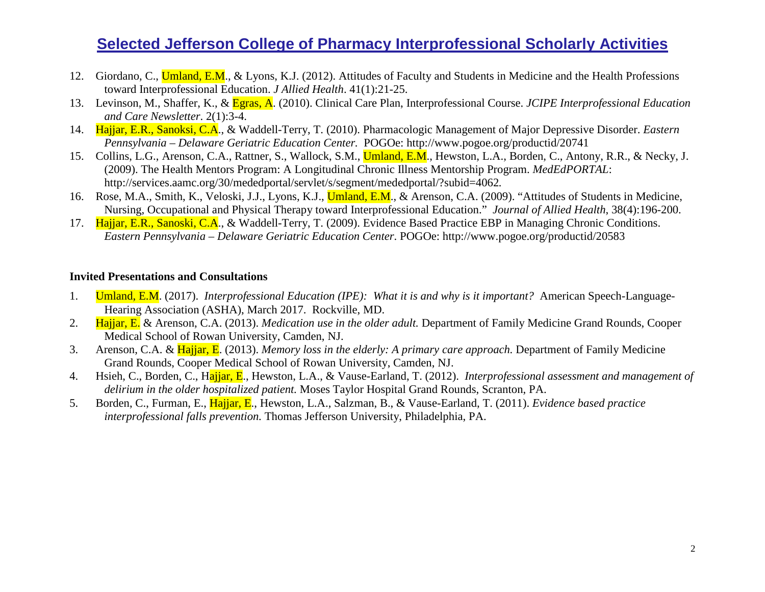- 12. Giordano, C., Umland, E.M., & Lyons, K.J. (2012). Attitudes of Faculty and Students in Medicine and the Health Professions toward Interprofessional Education. *J Allied Health*. 41(1):21-25.
- 13. Levinson, M., Shaffer, K., & Egras, A. (2010). Clinical Care Plan, Interprofessional Course. *JCIPE Interprofessional Education and Care Newsletter*. 2(1):3-4.
- 14. Hajjar, E.R., Sanoksi, C.A., & Waddell-Terry, T. (2010). Pharmacologic Management of Major Depressive Disorder. *Eastern Pennsylvania – Delaware Geriatric Education Center.* POGOe:<http://www.pogoe.org/productid/20741>
- 15. Collins, L.G., Arenson, C.A., Rattner, S., Wallock, S.M., *Umland, E.M.*, Hewston, L.A., Borden, C., Antony, R.R., & Necky, J. (2009). The Health Mentors Program: A Longitudinal Chronic Illness Mentorship Program. *MedEdPORTAL*: <http://services.aamc.org/30/mededportal/servlet/s/segment/mededportal/?subid=4062>*.*
- 16. Rose, M.A., Smith, K., Veloski, J.J., Lyons, K.J., Umland, E.M., & Arenson, C.A. (2009). "Attitudes of Students in Medicine, Nursing, Occupational and Physical Therapy toward Interprofessional Education." *Journal of Allied Health*, 38(4):196-200.
- 17. Hajjar, E.R., Sanoski, C.A., & Waddell-Terry, T. (2009). Evidence Based Practice EBP in Managing Chronic Conditions. *Eastern Pennsylvania – Delaware Geriatric Education Center*. POGOe:<http://www.pogoe.org/productid/20583>

#### **Invited Presentations and Consultations**

- 1. Umland, E.M. (2017). *Interprofessional Education (IPE): What it is and why is it important?* American Speech-Language-Hearing Association (ASHA), March 2017. Rockville, MD.
- 2. Hajjar, E. & Arenson, C.A. (2013). *Medication use in the older adult.* Department of Family Medicine Grand Rounds, Cooper Medical School of Rowan University, Camden, NJ.
- 3. Arenson, C.A. & Hajjar, E. (2013). *Memory loss in the elderly: A primary care approach.* Department of Family Medicine Grand Rounds, Cooper Medical School of Rowan University, Camden, NJ.
- 4. Hsieh, C., Borden, C., Hajjar, E., Hewston, L.A., & Vause-Earland, T. (2012). *Interprofessional assessment and management of delirium in the older hospitalized patient.* Moses Taylor Hospital Grand Rounds, Scranton, PA.
- 5. Borden, C., Furman, E., Hajjar, E., Hewston, L.A., Salzman, B., & Vause-Earland, T. (2011). *Evidence based practice interprofessional falls prevention.* Thomas Jefferson University, Philadelphia, PA.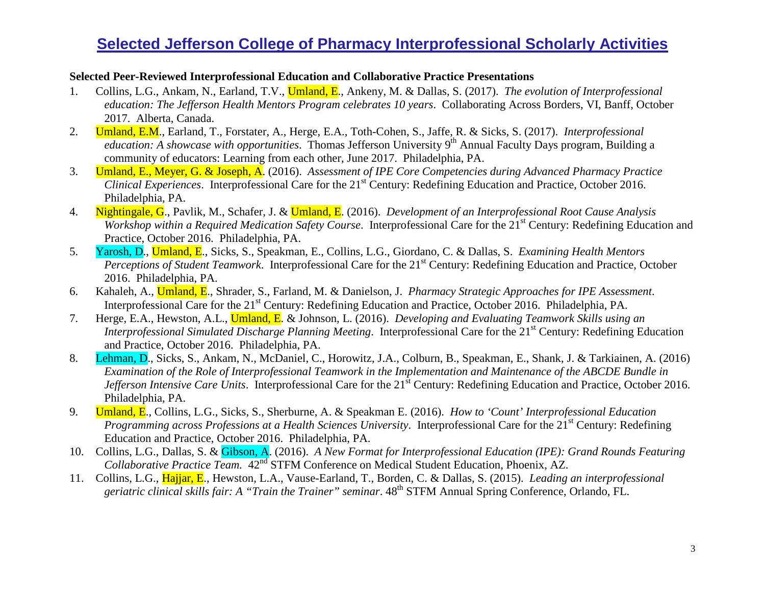#### **Selected Peer-Reviewed Interprofessional Education and Collaborative Practice Presentations**

- 1. Collins, L.G., Ankam, N., Earland, T.V., Umland, E., Ankeny, M. & Dallas, S. (2017). *The evolution of Interprofessional education: The Jefferson Health Mentors Program celebrates 10 years*. Collaborating Across Borders, VI, Banff, October 2017. Alberta, Canada.
- 2. Umland, E.M., Earland, T., Forstater, A., Herge, E.A., Toth-Cohen, S., Jaffe, R. & Sicks, S. (2017). *Interprofessional education: A showcase with opportunities.* Thomas Jefferson University 9<sup>th</sup> Annual Faculty Days program, Building a community of educators: Learning from each other, June 2017. Philadelphia, PA.
- 3. Umland, E., Meyer, G. & Joseph, A. (2016). *Assessment of IPE Core Competencies during Advanced Pharmacy Practice Clinical Experiences.* Interprofessional Care for the 21<sup>st</sup> Century: Redefining Education and Practice, October 2016. Philadelphia, PA.
- 4. Nightingale, G., Pavlik, M., Schafer, J. & Umland, E. (2016). *Development of an Interprofessional Root Cause Analysis Workshop within a Required Medication Safety Course.* Interprofessional Care for the 21<sup>st</sup> Century: Redefining Education and Practice, October 2016. Philadelphia, PA.
- 5. Yarosh, D., Umland, E., Sicks, S., Speakman, E., Collins, L.G., Giordano, C. & Dallas, S. *Examining Health Mentors Perceptions of Student Teamwork.* Interprofessional Care for the 21<sup>st</sup> Century: Redefining Education and Practice, October 2016. Philadelphia, PA.
- 6. Kahaleh, A., Umland, E., Shrader, S., Farland, M. & Danielson, J. *Pharmacy Strategic Approaches for IPE Assessment*. Interprofessional Care for the 21<sup>st</sup> Century: Redefining Education and Practice, October 2016. Philadelphia, PA.
- 7. Herge, E.A., Hewston, A.L., Umland, E. & Johnson, L. (2016). *Developing and Evaluating Teamwork Skills using an Interprofessional Simulated Discharge Planning Meeting.* Interprofessional Care for the 21<sup>st</sup> Century: Redefining Education and Practice, October 2016. Philadelphia, PA.
- 8. Lehman, D., Sicks, S., Ankam, N., McDaniel, C., Horowitz, J.A., Colburn, B., Speakman, E., Shank, J. & Tarkiainen, A. (2016) *Examination of the Role of Interprofessional Teamwork in the Implementation and Maintenance of the ABCDE Bundle in Jefferson Intensive Care Units.* Interprofessional Care for the 21<sup>st</sup> Century: Redefining Education and Practice, October 2016. Philadelphia, PA.
- 9. Umland, E., Collins, L.G., Sicks, S., Sherburne, A. & Speakman E. (2016). *How to 'Count' Interprofessional Education Programming across Professions at a Health Sciences University.* Interprofessional Care for the 21<sup>st</sup> Century: Redefining Education and Practice, October 2016. Philadelphia, PA.
- 10. Collins, L.G., Dallas, S. & Gibson, A. (2016). *A New Format for Interprofessional Education (IPE): Grand Rounds Featuring Collaborative Practice Team.* 42<sup>nd</sup> STFM Conference on Medical Student Education, Phoenix, AZ.
- 11. Collins, L.G., Hajjar, E., Hewston, L.A., Vause-Earland, T., Borden, C. & Dallas, S. (2015). *Leading an interprofessional geriatric clinical skills fair: A "Train the Trainer" seminar*. 48th STFM Annual Spring Conference, Orlando, FL.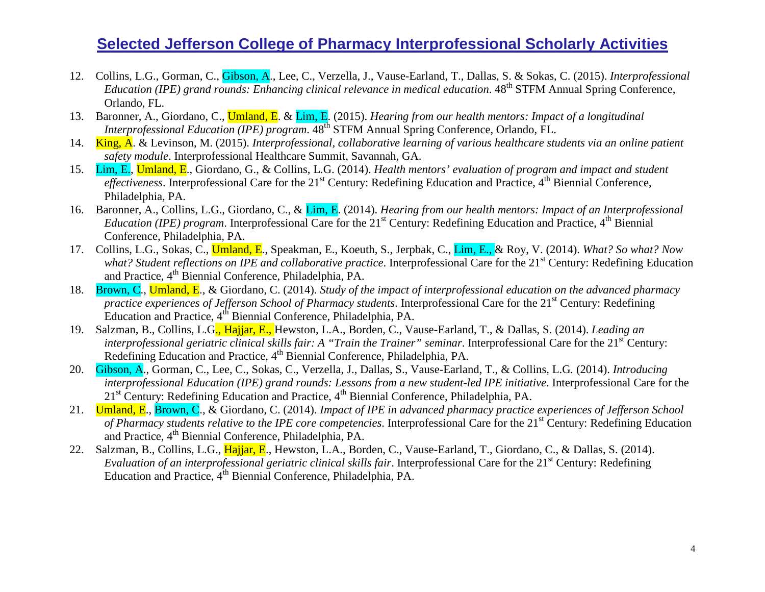- 12. Collins, L.G., Gorman, C., Gibson, A., Lee, C., Verzella, J., Vause-Earland, T., Dallas, S. & Sokas, C. (2015). *Interprofessional Education (IPE)* grand rounds: Enhancing clinical relevance in medical education. 48<sup>th</sup> STFM Annual Spring Conference, Orlando, FL.
- 13. Baronner, A., Giordano, C., Umland, E. & Lim, E. (2015). *Hearing from our health mentors: Impact of a longitudinal Interprofessional Education (IPE) program.* 48<sup>th</sup> STFM Annual Spring Conference, Orlando, FL.
- 14. King, A. & Levinson, M. (2015). *Interprofessional, collaborative learning of various healthcare students via an online patient safety module*. Interprofessional Healthcare Summit, Savannah, GA.
- 15. Lim, E., Umland, E., Giordano, G., & Collins, L.G. (2014). *Health mentors' evaluation of program and impact and student effectiveness*. Interprofessional Care for the 21<sup>st</sup> Century: Redefining Education and Practice, 4<sup>th</sup> Biennial Conference, Philadelphia, PA.
- 16. Baronner, A., Collins, L.G., Giordano, C., & Lim, E. (2014). *Hearing from our health mentors: Impact of an Interprofessional Education (IPE) program.* Interprofessional Care for the 21<sup>st</sup> Century: Redefining Education and Practice, 4<sup>th</sup> Biennial Conference, Philadelphia, PA.
- 17. Collins, L.G., Sokas, C., Umland, E., Speakman, E., Koeuth, S., Jerpbak, C., Lim, E., & Roy, V. (2014). *What? So what? Now what? Student reflections on IPE and collaborative practice.* Interprofessional Care for the 21<sup>st</sup> Century: Redefining Education and Practice, 4<sup>th</sup> Biennial Conference, Philadelphia, PA.
- 18. Brown, C., Umland, E., & Giordano, C. (2014). *Study of the impact of interprofessional education on the advanced pharmacy practice experiences of Jefferson School of Pharmacy students*. Interprofessional Care for the 21<sup>st</sup> Century: Redefining Education and Practice,  $4^{th}$  Biennial Conference, Philadelphia, PA.
- 19. Salzman, B., Collins, L.G., Hajjar, E., Hewston, L.A., Borden, C., Vause-Earland, T., & Dallas, S. (2014). *Leading an interprofessional geriatric clinical skills fair: A "Train the Trainer" seminar. Interprofessional Care for the 21<sup>st</sup> Century:* Redefining Education and Practice, 4<sup>th</sup> Biennial Conference, Philadelphia, PA.
- 20. Gibson, A., Gorman, C., Lee, C., Sokas, C., Verzella, J., Dallas, S., Vause-Earland, T., & Collins, L.G*.* (2014). *Introducing interprofessional Education (IPE) grand rounds: Lessons from a new student-led IPE initiative*. Interprofessional Care for the  $21<sup>st</sup>$  Century: Redefining Education and Practice,  $4<sup>th</sup>$  Biennial Conference, Philadelphia, PA.
- 21. Umland, E., Brown, C., & Giordano, C. (2014). *Impact of IPE in advanced pharmacy practice experiences of Jefferson School of Pharmacy students relative to the IPE core competencies.* Interprofessional Care for the 21<sup>st</sup> Century: Redefining Education and Practice, 4th Biennial Conference, Philadelphia, PA.
- 22. Salzman, B., Collins, L.G., Hajjar, E., Hewston, L.A., Borden, C., Vause-Earland, T., Giordano, C., & Dallas, S. (2014). *Evaluation of an interprofessional geriatric clinical skills fair.* Interprofessional Care for the 21<sup>st</sup> Century: Redefining Education and Practice, 4<sup>th</sup> Biennial Conference, Philadelphia, PA.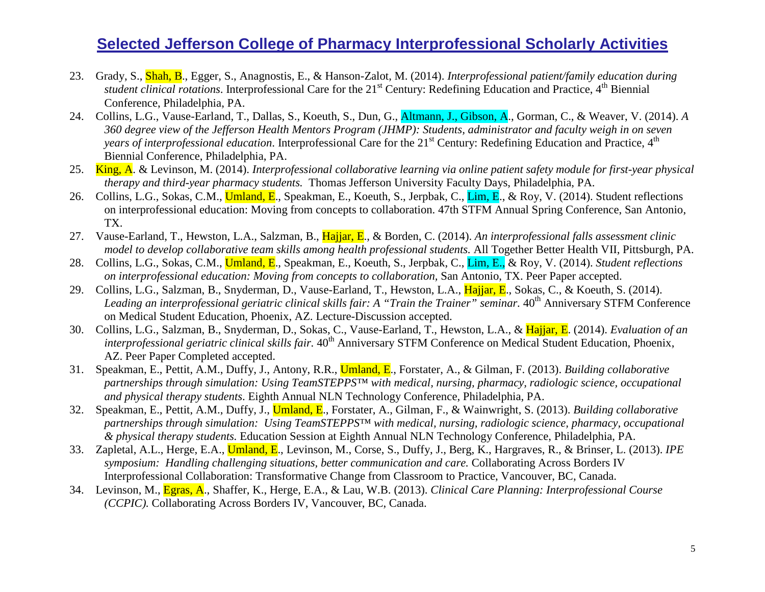- 23. Grady, S., Shah, B., Egger, S., Anagnostis, E., & Hanson-Zalot, M. (2014). *Interprofessional patient/family education during student clinical rotations*. Interprofessional Care for the 21<sup>st</sup> Century: Redefining Education and Practice, 4<sup>th</sup> Biennial Conference, Philadelphia, PA.
- 24. Collins, L.G., Vause-Earland, T., Dallas, S., Koeuth, S., Dun, G., Altmann, J., Gibson, A., Gorman, C., & Weaver, V. (2014). *A 360 degree view of the Jefferson Health Mentors Program (JHMP): Students, administrator and faculty weigh in on seven years of interprofessional education*. Interprofessional Care for the 21<sup>st</sup> Century: Redefining Education and Practice, 4<sup>th</sup> Biennial Conference, Philadelphia, PA.
- 25. King, A. & Levinson, M. (2014). *Interprofessional collaborative learning via online patient safety module for first-year physical therapy and third-year pharmacy students.* Thomas Jefferson University Faculty Days, Philadelphia, PA.
- 26. Collins, L.G., Sokas, C.M., Umland, E., Speakman, E., Koeuth, S., Jerpbak, C., Lim, E., & Roy, V. (2014). Student reflections on interprofessional education: Moving from concepts to collaboration. 47th STFM Annual Spring Conference, San Antonio, TX.
- 27. Vause-Earland, T., Hewston, L.A., Salzman, B., Hajjar, E., & Borden, C. (2014). *An interprofessional falls assessment clinic model to develop collaborative team skills among health professional students.* All Together Better Health VII, Pittsburgh, PA.
- 28. Collins, L.G., Sokas, C.M., Umland, E., Speakman, E., Koeuth, S., Jerpbak, C., Lim, E., & Roy, V. (2014). *Student reflections on interprofessional education: Moving from concepts to collaboration,* San Antonio, TX. Peer Paper accepted.
- 29. Collins, L.G., Salzman, B., Snyderman, D., Vause-Earland, T., Hewston, L.A., Hajjar, E., Sokas, C., & Koeuth, S. (2014). Leading an interprofessional geriatric clinical skills fair: A "Train the Trainer" seminar. 40<sup>th</sup> Anniversary STFM Conference on Medical Student Education, Phoenix, AZ. Lecture-Discussion accepted.
- 30. Collins, L.G., Salzman, B., Snyderman, D., Sokas, C., Vause-Earland, T., Hewston, L.A., & Hajjar, E. (2014). *Evaluation of an interprofessional geriatric clinical skills fair.* 40<sup>th</sup> Anniversary STFM Conference on Medical Student Education, Phoenix, AZ. Peer Paper Completed accepted.
- 31. Speakman, E., Pettit, A.M., Duffy, J., Antony, R.R., Umland, E., Forstater, A., & Gilman, F. (2013). *Building collaborative partnerships through simulation: Using TeamSTEPPS™ with medical, nursing, pharmacy, radiologic science, occupational and physical therapy students*. Eighth Annual NLN Technology Conference, Philadelphia, PA.
- 32. Speakman, E., Pettit, A.M., Duffy, J., Umland, E., Forstater, A., Gilman, F., & Wainwright, S. (2013). *Building collaborative partnerships through simulation: Using TeamSTEPPS™ with medical, nursing, radiologic science, pharmacy, occupational & physical therapy students.* Education Session at Eighth Annual NLN Technology Conference, Philadelphia, PA.
- 33. Zapletal, A.L., Herge, E.A., Umland, E., Levinson, M., Corse, S., Duffy, J., Berg, K., Hargraves, R., & Brinser, L. (2013). *IPE symposium: Handling challenging situations, better communication and care.* Collaborating Across Borders IV Interprofessional Collaboration: Transformative Change from Classroom to Practice, Vancouver, BC, Canada.
- 34. Levinson, M., Egras, A., Shaffer, K., Herge, E.A., & Lau, W.B. (2013). *Clinical Care Planning: Interprofessional Course (CCPIC).* Collaborating Across Borders IV, Vancouver, BC, Canada.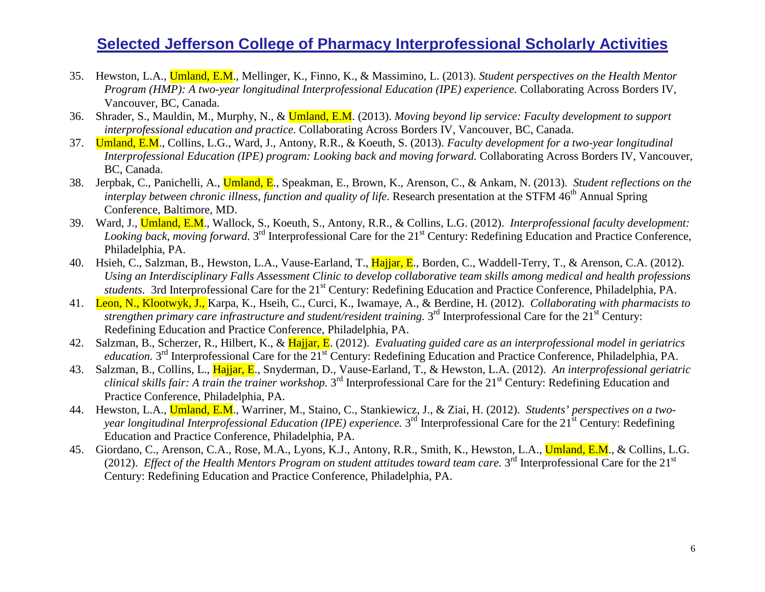- 35. Hewston, L.A., Umland, E.M., Mellinger, K., Finno, K., & Massimino, L. (2013). *Student perspectives on the Health Mentor Program (HMP): A two-year longitudinal Interprofessional Education (IPE) experience.* Collaborating Across Borders IV, Vancouver, BC, Canada.
- 36. Shrader, S., Mauldin, M., Murphy, N., & Umland, E.M. (2013). *Moving beyond lip service: Faculty development to support interprofessional education and practice.* Collaborating Across Borders IV, Vancouver, BC, Canada.
- 37. Umland, E.M., Collins, L.G., Ward, J., Antony, R.R., & Koeuth, S. (2013). *Faculty development for a two-year longitudinal Interprofessional Education (IPE) program: Looking back and moving forward.* Collaborating Across Borders IV, Vancouver, BC, Canada.
- 38. Jerpbak, C., Panichelli, A., Umland, E., Speakman, E., Brown, K., Arenson, C., & Ankam, N. (2013). *Student reflections on the interplay between chronic illness, function and quality of life.* Research presentation at the STFM 46<sup>th</sup> Annual Spring Conference, Baltimore, MD.
- 39. Ward, J., Umland, E.M., Wallock, S., Koeuth, S., Antony, R.R., & Collins, L.G. (2012). *Interprofessional faculty development: Looking back, moving forward.* 3<sup>rd</sup> Interprofessional Care for the 21<sup>st</sup> Century: Redefining Education and Practice Conference, Philadelphia, PA.
- 40. Hsieh, C., Salzman, B., Hewston, L.A., Vause-Earland, T., Hajjar, E., Borden, C., Waddell-Terry, T., & Arenson, C.A. (2012). *Using an Interdisciplinary Falls Assessment Clinic to develop collaborative team skills among medical and health professions students.* 3rd Interprofessional Care for the 21<sup>st</sup> Century: Redefining Education and Practice Conference, Philadelphia, PA.
- 41. Leon, N., Klootwyk, J., Karpa, K., Hseih, C., Curci, K., Iwamaye, A., & Berdine, H. (2012). *Collaborating with pharmacists to strengthen primary care infrastructure and student/resident training.* 3<sup>rd</sup> Interprofessional Care for the 21<sup>st</sup> Century: Redefining Education and Practice Conference, Philadelphia, PA.
- 42. Salzman, B., Scherzer, R., Hilbert, K., & Hajjar, E. (2012). *Evaluating guided care as an interprofessional model in geriatrics education.* 3<sup>rd</sup> Interprofessional Care for the 21<sup>st</sup> Century: Redefining Education and Practice Conference, Philadelphia, PA.
- 43. Salzman, B., Collins, L., Hajjar, E., Snyderman, D., Vause-Earland, T., & Hewston, L.A. (2012). *An interprofessional geriatric clinical skills fair: A train the trainer workshop.* 3<sup>rd</sup> Interprofessional Care for the 21<sup>st</sup> Century: Redefining Education and Practice Conference, Philadelphia, PA.
- 44. Hewston, L.A., Umland, E.M., Warriner, M., Staino, C., Stankiewicz, J., & Ziai, H. (2012). *Students' perspectives on a twoyear longitudinal Interprofessional Education (IPE) experience.* 3<sup>rd</sup> Interprofessional Care for the 21<sup>st</sup> Century: Redefining Education and Practice Conference, Philadelphia, PA.
- 45. Giordano, C., Arenson, C.A., Rose, M.A., Lyons, K.J., Antony, R.R., Smith, K., Hewston, L.A., Umland, E.M., & Collins, L.G. (2012). *Effect of the Health Mentors Program on student attitudes toward team care.*  $3^{rd}$  Interprofessional Care for the  $21^{st}$ Century: Redefining Education and Practice Conference, Philadelphia, PA.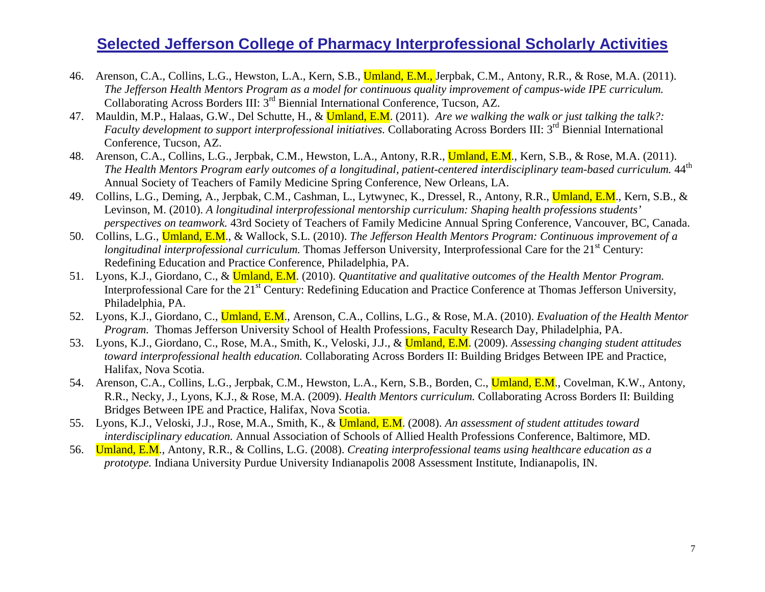- 46. Arenson, C.A., Collins, L.G., Hewston, L.A., Kern, S.B., *Umland*, E.M., Jerpbak, C.M., Antony, R.R., & Rose, M.A. (2011). *The Jefferson Health Mentors Program as a model for continuous quality improvement of campus-wide IPE curriculum.*  Collaborating Across Borders III: 3rd Biennial International Conference, Tucson, AZ.
- 47. Mauldin, M.P., Halaas, G.W., Del Schutte, H., & Umland, E.M. (2011). *Are we walking the walk or just talking the talk?: Faculty development to support interprofessional initiatives.* Collaborating Across Borders III: 3<sup>rd</sup> Biennial International Conference, Tucson, AZ.
- 48. Arenson, C.A., Collins, L.G., Jerpbak, C.M., Hewston, L.A., Antony, R.R., *Umland*, E.M., Kern, S.B., & Rose, M.A. (2011). *The Health Mentors Program early outcomes of a longitudinal, patient-centered interdisciplinary team-based curriculum.* 44<sup>th</sup> Annual Society of Teachers of Family Medicine Spring Conference, New Orleans, LA.
- 49. Collins, L.G., Deming, A., Jerpbak, C.M., Cashman, L., Lytwynec, K., Dressel, R., Antony, R.R., Umland, E.M., Kern, S.B., & Levinson, M. (2010). *A longitudinal interprofessional mentorship curriculum: Shaping health professions students' perspectives on teamwork.* 43rd Society of Teachers of Family Medicine Annual Spring Conference, Vancouver, BC, Canada.
- 50. Collins, L.G., Umland, E.M., & Wallock, S.L. (2010). *The Jefferson Health Mentors Program: Continuous improvement of a longitudinal interprofessional curriculum.* Thomas Jefferson University, Interprofessional Care for the 21<sup>st</sup> Century: Redefining Education and Practice Conference, Philadelphia, PA.
- 51. Lyons, K.J., Giordano, C., & Umland, E.M. (2010). *Quantitative and qualitative outcomes of the Health Mentor Program.* Interprofessional Care for the 21<sup>st</sup> Century: Redefining Education and Practice Conference at Thomas Jefferson University, Philadelphia, PA.
- 52. Lyons, K.J., Giordano, C., Umland, E.M., Arenson, C.A., Collins, L.G., & Rose, M.A. (2010). *Evaluation of the Health Mentor Program.* Thomas Jefferson University School of Health Professions, Faculty Research Day, Philadelphia, PA.
- 53. Lyons, K.J., Giordano, C., Rose, M.A., Smith, K., Veloski, J.J., & Umland, E.M. (2009). *Assessing changing student attitudes toward interprofessional health education.* Collaborating Across Borders II: Building Bridges Between IPE and Practice, Halifax, Nova Scotia.
- 54. Arenson, C.A., Collins, L.G., Jerpbak, C.M., Hewston, L.A., Kern, S.B., Borden, C., Umland, E.M., Covelman, K.W., Antony, R.R., Necky, J., Lyons, K.J., & Rose, M.A. (2009). *Health Mentors curriculum.* Collaborating Across Borders II: Building Bridges Between IPE and Practice, Halifax, Nova Scotia.
- 55. Lyons, K.J., Veloski, J.J., Rose, M.A., Smith, K., & Umland, E.M. (2008). *An assessment of student attitudes toward interdisciplinary education.* Annual Association of Schools of Allied Health Professions Conference, Baltimore, MD.
- 56. Umland, E.M., Antony, R.R., & Collins, L.G. (2008). *Creating interprofessional teams using healthcare education as a prototype.* Indiana University Purdue University Indianapolis 2008 Assessment Institute, Indianapolis, IN.